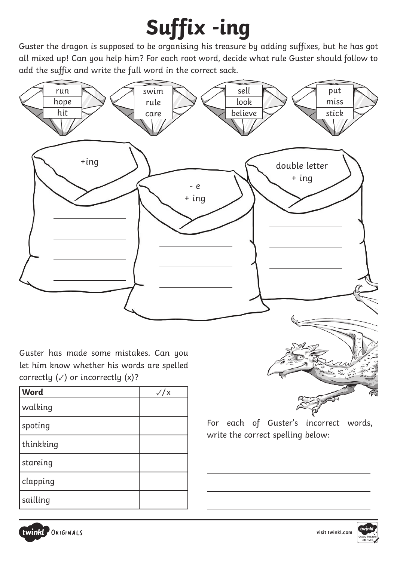## **Suffix -ing**

Guster the dragon is supposed to be organising his treasure by adding suffixes, but he has got all mixed up! Can you help him? For each root word, decide what rule Guster should follow to add the suffix and write the full word in the correct sack.



 $\overline{a}$ 

 $\overline{a}$ 

 $\overline{a}$ 

Guster has made some mistakes. Can you let him know whether his words are spelled correctly  $(\checkmark)$  or incorrectly  $(x)$ ?

| <b>Word</b> | $\sqrt{x}$ |
|-------------|------------|
| walking     |            |
| spoting     |            |
| thinkking   |            |
| stareing    |            |
| clapping    |            |
| sailling    |            |



For each of Guster's incorrect words, write the correct spelling below: